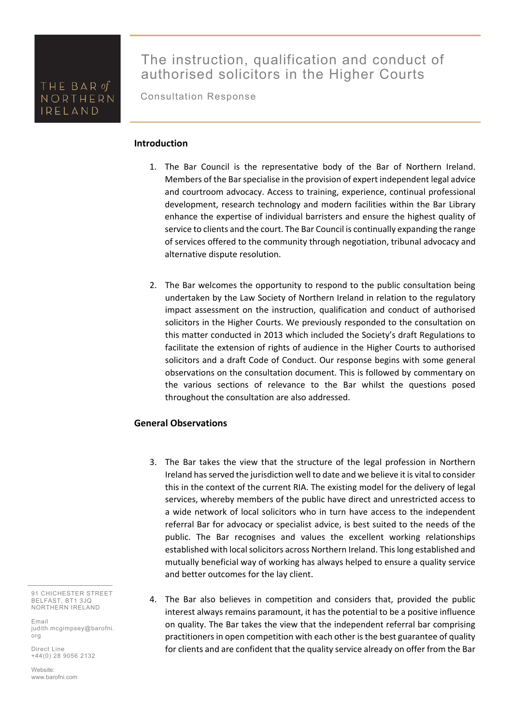Consultation Response

#### **Introduction**

- 1. The Bar Council is the representative body of the Bar of Northern Ireland. Members of the Bar specialise in the provision of expert independent legal advice and courtroom advocacy. Access to training, experience, continual professional development, research technology and modern facilities within the Bar Library enhance the expertise of individual barristers and ensure the highest quality of service to clients and the court. The Bar Council is continually expanding the range of services offered to the community through negotiation, tribunal advocacy and alternative dispute resolution.
- 2. The Bar welcomes the opportunity to respond to the public consultation being undertaken by the Law Society of Northern Ireland in relation to the regulatory impact assessment on the instruction, qualification and conduct of authorised solicitors in the Higher Courts. We previously responded to the consultation on this matter conducted in 2013 which included the Society's draft Regulations to facilitate the extension of rights of audience in the Higher Courts to authorised solicitors and a draft Code of Conduct. Our response begins with some general observations on the consultation document. This is followed by commentary on the various sections of relevance to the Bar whilst the questions posed throughout the consultation are also addressed.

#### **General Observations**

- 3. The Bar takes the view that the structure of the legal profession in Northern Ireland has served the jurisdiction well to date and we believe it is vital to consider this in the context of the current RIA. The existing model for the delivery of legal services, whereby members of the public have direct and unrestricted access to a wide network of local solicitors who in turn have access to the independent referral Bar for advocacy or specialist advice, is best suited to the needs of the public. The Bar recognises and values the excellent working relationships established with local solicitors across Northern Ireland. This long established and mutually beneficial way of working has always helped to ensure a quality service and better outcomes for the lay client.
- 4. The Bar also believes in competition and considers that, provided the public interest always remains paramount, it has the potential to be a positive influence on quality. The Bar takes the view that the independent referral bar comprising practitioners in open competition with each other is the best guarantee of quality for clients and are confident that the quality service already on offer from the Bar

91 CHICHESTER STREET BELFAST, BT1 3JQ NORTHERN IRELAND

Email judith.mcgimpsey@barofni. org

Direct Line +44(0) 28 9056 2132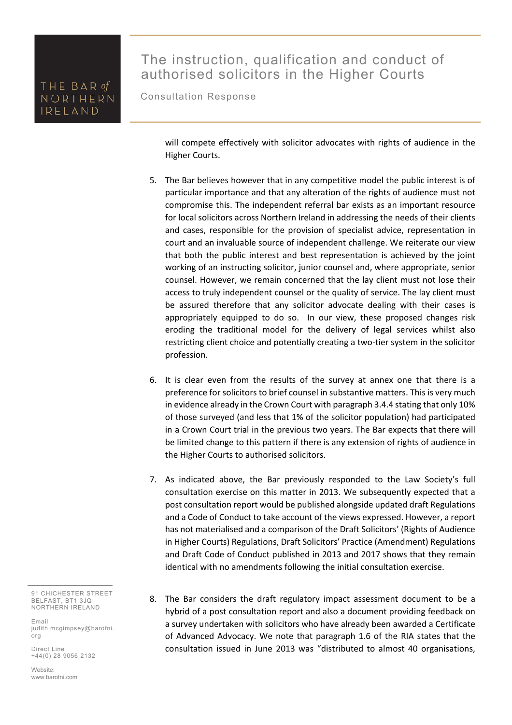# The instruction, qualification and conduct of authorised solicitors in the Higher Courts

Consultation Response

will compete effectively with solicitor advocates with rights of audience in the Higher Courts.

- 5. The Bar believes however that in any competitive model the public interest is of particular importance and that any alteration of the rights of audience must not compromise this. The independent referral bar exists as an important resource for local solicitors across Northern Ireland in addressing the needs of their clients and cases, responsible for the provision of specialist advice, representation in court and an invaluable source of independent challenge. We reiterate our view that both the public interest and best representation is achieved by the joint working of an instructing solicitor, junior counsel and, where appropriate, senior counsel. However, we remain concerned that the lay client must not lose their access to truly independent counsel or the quality of service. The lay client must be assured therefore that any solicitor advocate dealing with their cases is appropriately equipped to do so. In our view, these proposed changes risk eroding the traditional model for the delivery of legal services whilst also restricting client choice and potentially creating a two-tier system in the solicitor profession.
- 6. It is clear even from the results of the survey at annex one that there is a preference for solicitors to brief counsel in substantive matters. This is very much in evidence already in the Crown Court with paragraph 3.4.4 stating that only 10% of those surveyed (and less that 1% of the solicitor population) had participated in a Crown Court trial in the previous two years. The Bar expects that there will be limited change to this pattern if there is any extension of rights of audience in the Higher Courts to authorised solicitors.
- 7. As indicated above, the Bar previously responded to the Law Society's full consultation exercise on this matter in 2013. We subsequently expected that a post consultation report would be published alongside updated draft Regulations and a Code of Conduct to take account of the views expressed. However, a report has not materialised and a comparison of the Draft Solicitors' (Rights of Audience in Higher Courts) Regulations, Draft Solicitors' Practice (Amendment) Regulations and Draft Code of Conduct published in 2013 and 2017 shows that they remain identical with no amendments following the initial consultation exercise.
- 8. The Bar considers the draft regulatory impact assessment document to be a hybrid of a post consultation report and also a document providing feedback on a survey undertaken with solicitors who have already been awarded a Certificate of Advanced Advocacy. We note that paragraph 1.6 of the RIA states that the consultation issued in June 2013 was "distributed to almost 40 organisations,

91 CHICHESTER STREET BELFAST, BT1 3JQ NORTHERN IRELAND

Email judith.mcgimpsey@barofni. org

Direct Line +44(0) 28 9056 2132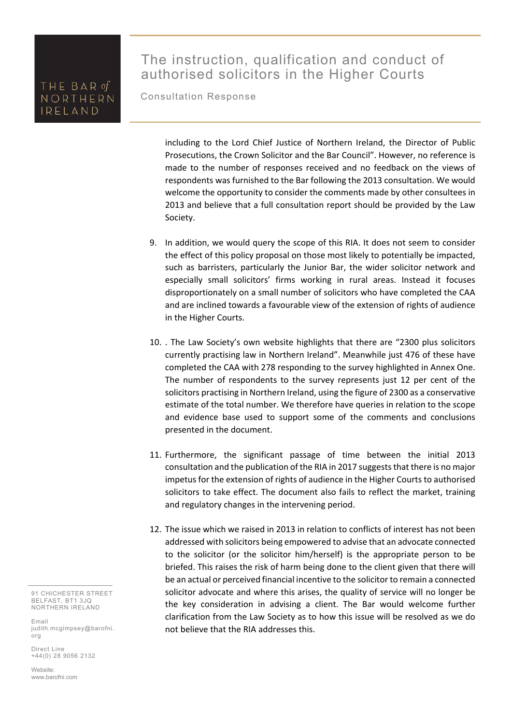# The instruction, qualification and conduct of authorised solicitors in the Higher Courts

Consultation Response

including to the Lord Chief Justice of Northern Ireland, the Director of Public Prosecutions, the Crown Solicitor and the Bar Council". However, no reference is made to the number of responses received and no feedback on the views of respondents was furnished to the Bar following the 2013 consultation. We would welcome the opportunity to consider the comments made by other consultees in 2013 and believe that a full consultation report should be provided by the Law Society.

- 9. In addition, we would query the scope of this RIA. It does not seem to consider the effect of this policy proposal on those most likely to potentially be impacted, such as barristers, particularly the Junior Bar, the wider solicitor network and especially small solicitors' firms working in rural areas. Instead it focuses disproportionately on a small number of solicitors who have completed the CAA and are inclined towards a favourable view of the extension of rights of audience in the Higher Courts.
- 10. . The Law Society's own website highlights that there are "2300 plus solicitors currently practising law in Northern Ireland". Meanwhile just 476 of these have completed the CAA with 278 responding to the survey highlighted in Annex One. The number of respondents to the survey represents just 12 per cent of the solicitors practising in Northern Ireland, using the figure of 2300 as a conservative estimate of the total number. We therefore have queries in relation to the scope and evidence base used to support some of the comments and conclusions presented in the document.
- 11. Furthermore, the significant passage of time between the initial 2013 consultation and the publication of the RIA in 2017 suggests that there is no major impetus for the extension of rights of audience in the Higher Courts to authorised solicitors to take effect. The document also fails to reflect the market, training and regulatory changes in the intervening period.
- 12. The issue which we raised in 2013 in relation to conflicts of interest has not been addressed with solicitors being empowered to advise that an advocate connected to the solicitor (or the solicitor him/herself) is the appropriate person to be briefed. This raises the risk of harm being done to the client given that there will be an actual or perceived financial incentive to the solicitor to remain a connected solicitor advocate and where this arises, the quality of service will no longer be the key consideration in advising a client. The Bar would welcome further clarification from the Law Society as to how this issue will be resolved as we do not believe that the RIA addresses this.

91 CHICHESTER STREET BELFAST, BT1 3JQ NORTHERN IRELAND

Email judith.mcgimpsey@barofni. org

Direct Line +44(0) 28 9056 2132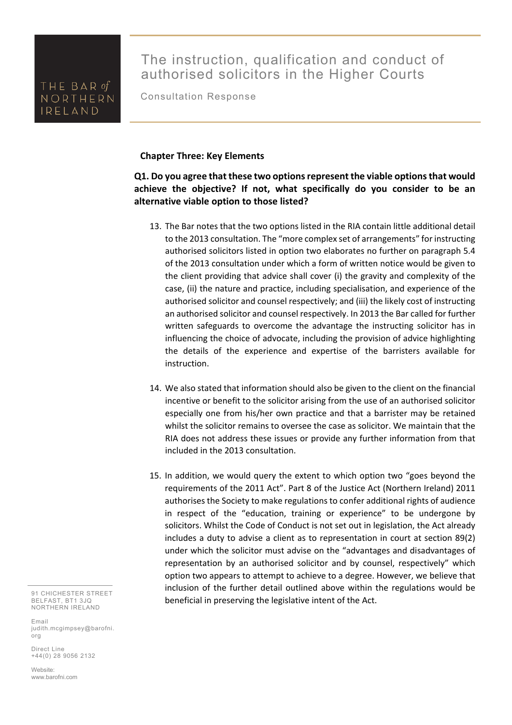The instruction, qualification and conduct of authorised solicitors in the Higher Courts

Consultation Response

#### **Chapter Three: Key Elements**

### **Q1. Do you agree that these two options represent the viable options that would achieve the objective? If not, what specifically do you consider to be an alternative viable option to those listed?**

- 13. The Bar notes that the two options listed in the RIA contain little additional detail to the 2013 consultation. The "more complex set of arrangements" for instructing authorised solicitors listed in option two elaborates no further on paragraph 5.4 of the 2013 consultation under which a form of written notice would be given to the client providing that advice shall cover (i) the gravity and complexity of the case, (ii) the nature and practice, including specialisation, and experience of the authorised solicitor and counsel respectively; and (iii) the likely cost of instructing an authorised solicitor and counsel respectively. In 2013 the Bar called for further written safeguards to overcome the advantage the instructing solicitor has in influencing the choice of advocate, including the provision of advice highlighting the details of the experience and expertise of the barristers available for instruction.
- 14. We also stated that information should also be given to the client on the financial incentive or benefit to the solicitor arising from the use of an authorised solicitor especially one from his/her own practice and that a barrister may be retained whilst the solicitor remains to oversee the case as solicitor. We maintain that the RIA does not address these issues or provide any further information from that included in the 2013 consultation.
- 15. In addition, we would query the extent to which option two "goes beyond the requirements of the 2011 Act". Part 8 of the Justice Act (Northern Ireland) 2011 authorises the Society to make regulations to confer additional rights of audience in respect of the "education, training or experience" to be undergone by solicitors. Whilst the Code of Conduct is not set out in legislation, the Act already includes a duty to advise a client as to representation in court at section 89(2) under which the solicitor must advise on the "advantages and disadvantages of representation by an authorised solicitor and by counsel, respectively" which option two appears to attempt to achieve to a degree. However, we believe that inclusion of the further detail outlined above within the regulations would be beneficial in preserving the legislative intent of the Act.

91 CHICHESTER STREET BELFAST, BT1 3JQ NORTHERN IRELAND

Email judith.mcgimpsey@barofni. org

Direct Line +44(0) 28 9056 2132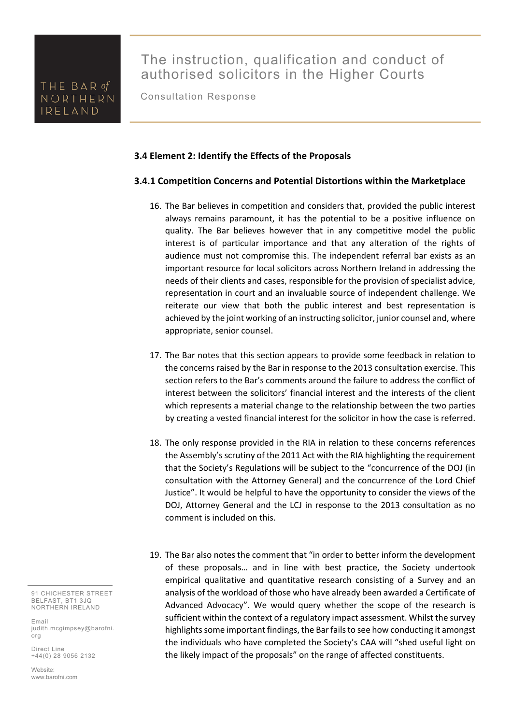Consultation Response

#### **3.4 Element 2: Identify the Effects of the Proposals**

#### **3.4.1 Competition Concerns and Potential Distortions within the Marketplace**

- 16. The Bar believes in competition and considers that, provided the public interest always remains paramount, it has the potential to be a positive influence on quality. The Bar believes however that in any competitive model the public interest is of particular importance and that any alteration of the rights of audience must not compromise this. The independent referral bar exists as an important resource for local solicitors across Northern Ireland in addressing the needs of their clients and cases, responsible for the provision of specialist advice, representation in court and an invaluable source of independent challenge. We reiterate our view that both the public interest and best representation is achieved by the joint working of an instructing solicitor, junior counsel and, where appropriate, senior counsel.
- 17. The Bar notes that this section appears to provide some feedback in relation to the concerns raised by the Bar in response to the 2013 consultation exercise. This section refers to the Bar's comments around the failure to address the conflict of interest between the solicitors' financial interest and the interests of the client which represents a material change to the relationship between the two parties by creating a vested financial interest for the solicitor in how the case is referred.
- 18. The only response provided in the RIA in relation to these concerns references the Assembly's scrutiny of the 2011 Act with the RIA highlighting the requirement that the Society's Regulations will be subject to the "concurrence of the DOJ (in consultation with the Attorney General) and the concurrence of the Lord Chief Justice". It would be helpful to have the opportunity to consider the views of the DOJ, Attorney General and the LCJ in response to the 2013 consultation as no comment is included on this.
- 19. The Bar also notes the comment that "in order to better inform the development of these proposals… and in line with best practice, the Society undertook empirical qualitative and quantitative research consisting of a Survey and an analysis of the workload of those who have already been awarded a Certificate of Advanced Advocacy". We would query whether the scope of the research is sufficient within the context of a regulatory impact assessment. Whilst the survey highlights some important findings, the Bar fails to see how conducting it amongst the individuals who have completed the Society's CAA will "shed useful light on the likely impact of the proposals" on the range of affected constituents.

91 CHICHESTER STREET BELFAST, BT1 3JQ NORTHERN IRELAND

Email judith.mcgimpsey@barofni. org

Direct Line +44(0) 28 9056 2132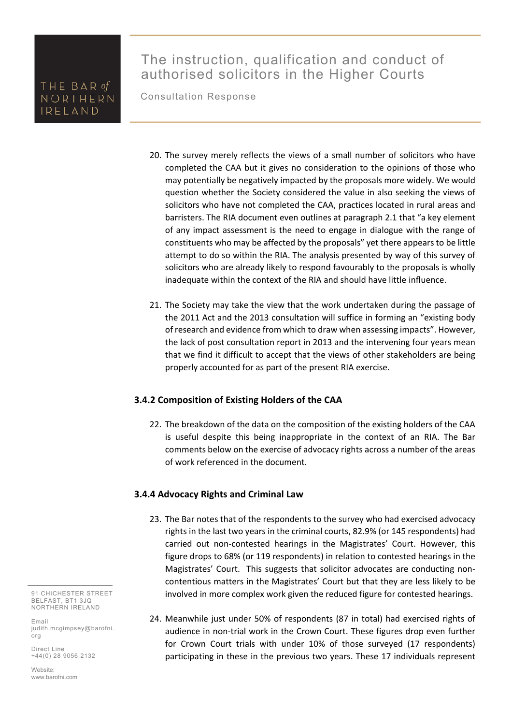Consultation Response

- 20. The survey merely reflects the views of a small number of solicitors who have completed the CAA but it gives no consideration to the opinions of those who may potentially be negatively impacted by the proposals more widely. We would question whether the Society considered the value in also seeking the views of solicitors who have not completed the CAA, practices located in rural areas and barristers. The RIA document even outlines at paragraph 2.1 that "a key element of any impact assessment is the need to engage in dialogue with the range of constituents who may be affected by the proposals" yet there appears to be little attempt to do so within the RIA. The analysis presented by way of this survey of solicitors who are already likely to respond favourably to the proposals is wholly inadequate within the context of the RIA and should have little influence.
- 21. The Society may take the view that the work undertaken during the passage of the 2011 Act and the 2013 consultation will suffice in forming an "existing body of research and evidence from which to draw when assessing impacts". However, the lack of post consultation report in 2013 and the intervening four years mean that we find it difficult to accept that the views of other stakeholders are being properly accounted for as part of the present RIA exercise.

#### **3.4.2 Composition of Existing Holders of the CAA**

22. The breakdown of the data on the composition of the existing holders of the CAA is useful despite this being inappropriate in the context of an RIA. The Bar comments below on the exercise of advocacy rights across a number of the areas of work referenced in the document.

#### **3.4.4 Advocacy Rights and Criminal Law**

- 23. The Bar notes that of the respondents to the survey who had exercised advocacy rights in the last two years in the criminal courts, 82.9% (or 145 respondents) had carried out non-contested hearings in the Magistrates' Court. However, this figure drops to 68% (or 119 respondents) in relation to contested hearings in the Magistrates' Court. This suggests that solicitor advocates are conducting noncontentious matters in the Magistrates' Court but that they are less likely to be involved in more complex work given the reduced figure for contested hearings.
- 24. Meanwhile just under 50% of respondents (87 in total) had exercised rights of audience in non-trial work in the Crown Court. These figures drop even further for Crown Court trials with under 10% of those surveyed (17 respondents) participating in these in the previous two years. These 17 individuals represent

91 CHICHESTER STREET BELFAST, BT1 3JQ NORTHERN IRELAND

Email judith.mcgimpsey@barofni. org

Direct Line +44(0) 28 9056 2132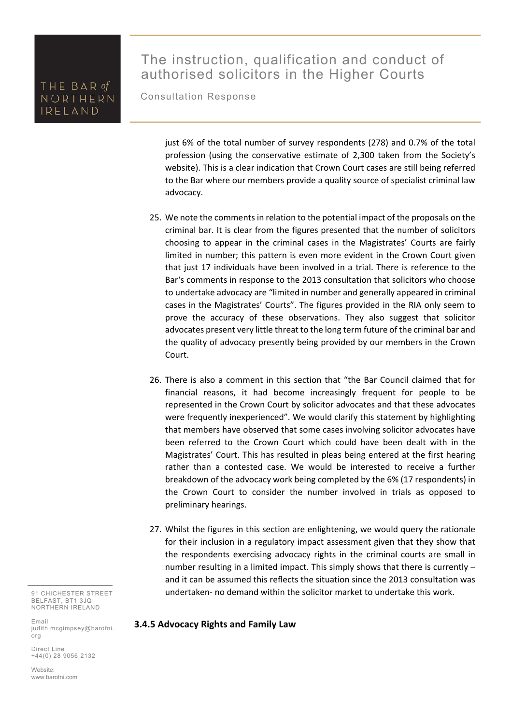# The instruction, qualification and conduct of authorised solicitors in the Higher Courts

Consultation Response

just 6% of the total number of survey respondents (278) and 0.7% of the total profession (using the conservative estimate of 2,300 taken from the Society's website). This is a clear indication that Crown Court cases are still being referred to the Bar where our members provide a quality source of specialist criminal law advocacy.

- 25. We note the comments in relation to the potential impact of the proposals on the criminal bar. It is clear from the figures presented that the number of solicitors choosing to appear in the criminal cases in the Magistrates' Courts are fairly limited in number; this pattern is even more evident in the Crown Court given that just 17 individuals have been involved in a trial. There is reference to the Bar's comments in response to the 2013 consultation that solicitors who choose to undertake advocacy are "limited in number and generally appeared in criminal cases in the Magistrates' Courts". The figures provided in the RIA only seem to prove the accuracy of these observations. They also suggest that solicitor advocates present very little threat to the long term future of the criminal bar and the quality of advocacy presently being provided by our members in the Crown Court.
- 26. There is also a comment in this section that "the Bar Council claimed that for financial reasons, it had become increasingly frequent for people to be represented in the Crown Court by solicitor advocates and that these advocates were frequently inexperienced". We would clarify this statement by highlighting that members have observed that some cases involving solicitor advocates have been referred to the Crown Court which could have been dealt with in the Magistrates' Court. This has resulted in pleas being entered at the first hearing rather than a contested case. We would be interested to receive a further breakdown of the advocacy work being completed by the 6% (17 respondents) in the Crown Court to consider the number involved in trials as opposed to preliminary hearings.
- 27. Whilst the figures in this section are enlightening, we would query the rationale for their inclusion in a regulatory impact assessment given that they show that the respondents exercising advocacy rights in the criminal courts are small in number resulting in a limited impact. This simply shows that there is currently – and it can be assumed this reflects the situation since the 2013 consultation was undertaken‐ no demand within the solicitor market to undertake this work.

91 CHICHESTER STREET BELFAST, BT1 3JQ NORTHERN IRELAND

Email judith.mcgimpsey@barofni. org

Direct Line +44(0) 28 9056 2132

Website: www.barofni.com

#### **3.4.5 Advocacy Rights and Family Law**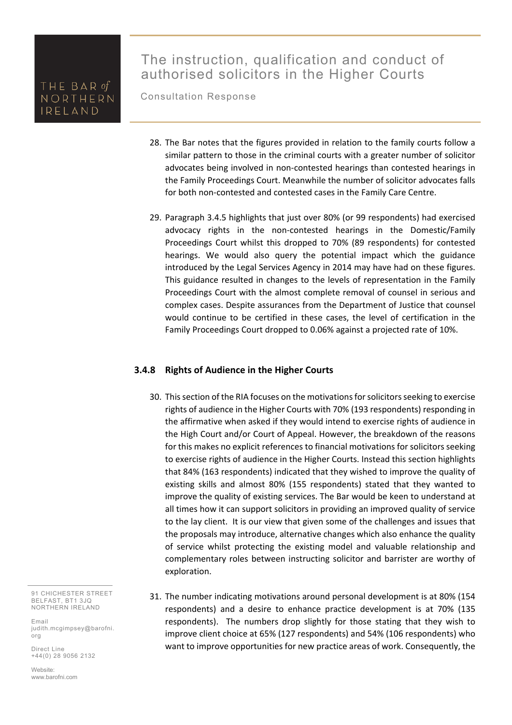# The instruction, qualification and conduct of authorised solicitors in the Higher Courts

Consultation Response

- 28. The Bar notes that the figures provided in relation to the family courts follow a similar pattern to those in the criminal courts with a greater number of solicitor advocates being involved in non‐contested hearings than contested hearings in the Family Proceedings Court. Meanwhile the number of solicitor advocates falls for both non-contested and contested cases in the Family Care Centre.
- 29. Paragraph 3.4.5 highlights that just over 80% (or 99 respondents) had exercised advocacy rights in the non-contested hearings in the Domestic/Family Proceedings Court whilst this dropped to 70% (89 respondents) for contested hearings. We would also query the potential impact which the guidance introduced by the Legal Services Agency in 2014 may have had on these figures. This guidance resulted in changes to the levels of representation in the Family Proceedings Court with the almost complete removal of counsel in serious and complex cases. Despite assurances from the Department of Justice that counsel would continue to be certified in these cases, the level of certification in the Family Proceedings Court dropped to 0.06% against a projected rate of 10%.

#### **3.4.8 Rights of Audience in the Higher Courts**

- 30. This section of the RIA focuses on the motivations for solicitors seeking to exercise rights of audience in the Higher Courts with 70% (193 respondents) responding in the affirmative when asked if they would intend to exercise rights of audience in the High Court and/or Court of Appeal. However, the breakdown of the reasons for this makes no explicit references to financial motivations for solicitors seeking to exercise rights of audience in the Higher Courts. Instead this section highlights that 84% (163 respondents) indicated that they wished to improve the quality of existing skills and almost 80% (155 respondents) stated that they wanted to improve the quality of existing services. The Bar would be keen to understand at all times how it can support solicitors in providing an improved quality of service to the lay client. It is our view that given some of the challenges and issues that the proposals may introduce, alternative changes which also enhance the quality of service whilst protecting the existing model and valuable relationship and complementary roles between instructing solicitor and barrister are worthy of exploration.
- 31. The number indicating motivations around personal development is at 80% (154 respondents) and a desire to enhance practice development is at 70% (135 respondents). The numbers drop slightly for those stating that they wish to improve client choice at 65% (127 respondents) and 54% (106 respondents) who want to improve opportunities for new practice areas of work. Consequently, the

91 CHICHESTER STREET BELFAST, BT1 3JQ NORTHERN IRELAND

Email judith.mcgimpsey@barofni. org

Direct Line +44(0) 28 9056 2132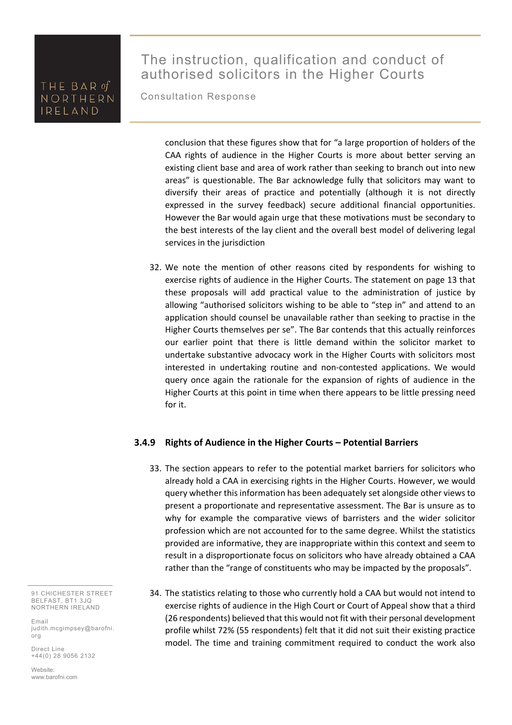# The instruction, qualification and conduct of authorised solicitors in the Higher Courts

Consultation Response

conclusion that these figures show that for "a large proportion of holders of the CAA rights of audience in the Higher Courts is more about better serving an existing client base and area of work rather than seeking to branch out into new areas" is questionable. The Bar acknowledge fully that solicitors may want to diversify their areas of practice and potentially (although it is not directly expressed in the survey feedback) secure additional financial opportunities. However the Bar would again urge that these motivations must be secondary to the best interests of the lay client and the overall best model of delivering legal services in the jurisdiction

32. We note the mention of other reasons cited by respondents for wishing to exercise rights of audience in the Higher Courts. The statement on page 13 that these proposals will add practical value to the administration of justice by allowing "authorised solicitors wishing to be able to "step in" and attend to an application should counsel be unavailable rather than seeking to practise in the Higher Courts themselves per se". The Bar contends that this actually reinforces our earlier point that there is little demand within the solicitor market to undertake substantive advocacy work in the Higher Courts with solicitors most interested in undertaking routine and non‐contested applications. We would query once again the rationale for the expansion of rights of audience in the Higher Courts at this point in time when there appears to be little pressing need for it.

### **3.4.9 Rights of Audience in the Higher Courts – Potential Barriers**

- 33. The section appears to refer to the potential market barriers for solicitors who already hold a CAA in exercising rights in the Higher Courts. However, we would query whether this information has been adequately set alongside other views to present a proportionate and representative assessment. The Bar is unsure as to why for example the comparative views of barristers and the wider solicitor profession which are not accounted for to the same degree. Whilst the statistics provided are informative, they are inappropriate within this context and seem to result in a disproportionate focus on solicitors who have already obtained a CAA rather than the "range of constituents who may be impacted by the proposals".
- 34. The statistics relating to those who currently hold a CAA but would not intend to exercise rights of audience in the High Court or Court of Appeal show that a third (26 respondents) believed that this would not fit with their personal development profile whilst 72% (55 respondents) felt that it did not suit their existing practice model. The time and training commitment required to conduct the work also

91 CHICHESTER STREET BELFAST, BT1 3JQ NORTHERN IRELAND

Email judith.mcgimpsey@barofni. org

Direct Line +44(0) 28 9056 2132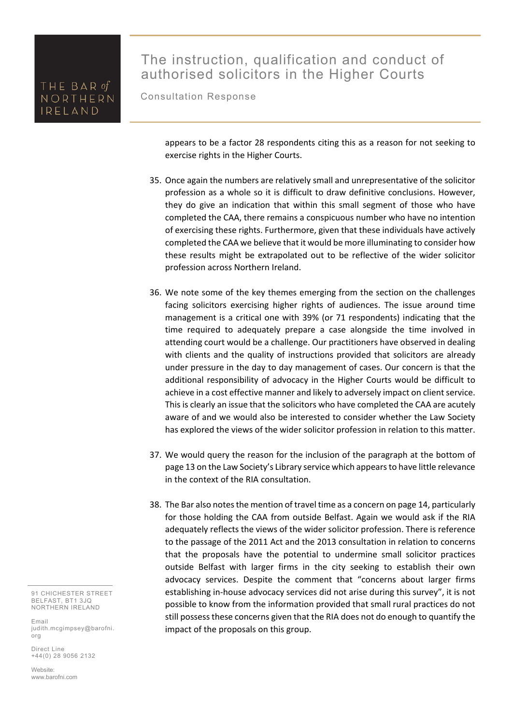# The instruction, qualification and conduct of authorised solicitors in the Higher Courts

Consultation Response

appears to be a factor 28 respondents citing this as a reason for not seeking to exercise rights in the Higher Courts.

- 35. Once again the numbers are relatively small and unrepresentative of the solicitor profession as a whole so it is difficult to draw definitive conclusions. However, they do give an indication that within this small segment of those who have completed the CAA, there remains a conspicuous number who have no intention of exercising these rights. Furthermore, given that these individuals have actively completed the CAA we believe that it would be more illuminating to consider how these results might be extrapolated out to be reflective of the wider solicitor profession across Northern Ireland.
- 36. We note some of the key themes emerging from the section on the challenges facing solicitors exercising higher rights of audiences. The issue around time management is a critical one with 39% (or 71 respondents) indicating that the time required to adequately prepare a case alongside the time involved in attending court would be a challenge. Our practitioners have observed in dealing with clients and the quality of instructions provided that solicitors are already under pressure in the day to day management of cases. Our concern is that the additional responsibility of advocacy in the Higher Courts would be difficult to achieve in a cost effective manner and likely to adversely impact on client service. This is clearly an issue that the solicitors who have completed the CAA are acutely aware of and we would also be interested to consider whether the Law Society has explored the views of the wider solicitor profession in relation to this matter.
- 37. We would query the reason for the inclusion of the paragraph at the bottom of page 13 on the Law Society's Library service which appears to have little relevance in the context of the RIA consultation.
- 38. The Bar also notes the mention of travel time as a concern on page 14, particularly for those holding the CAA from outside Belfast. Again we would ask if the RIA adequately reflects the views of the wider solicitor profession. There is reference to the passage of the 2011 Act and the 2013 consultation in relation to concerns that the proposals have the potential to undermine small solicitor practices outside Belfast with larger firms in the city seeking to establish their own advocacy services. Despite the comment that "concerns about larger firms establishing in‐house advocacy services did not arise during this survey", it is not possible to know from the information provided that small rural practices do not still possess these concerns given that the RIA does not do enough to quantify the impact of the proposals on this group.

91 CHICHESTER STREET BELFAST, BT1 3JQ NORTHERN IRELAND

Email judith.mcgimpsey@barofni. org

Direct Line +44(0) 28 9056 2132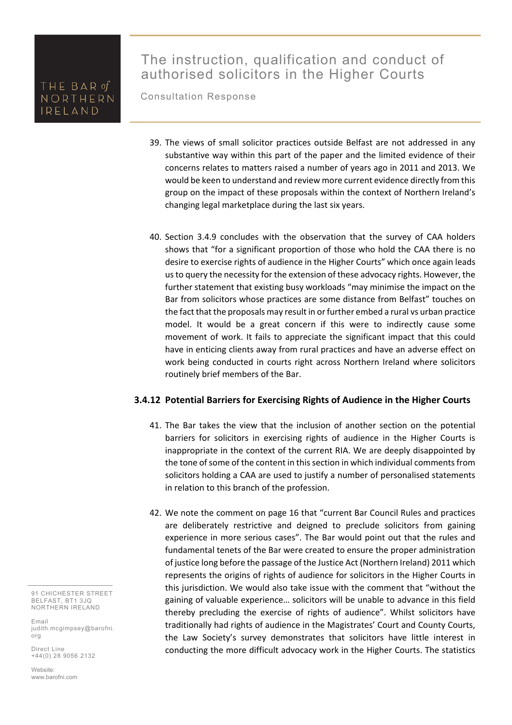Consultation Response

- 39. The views of small solicitor practices outside Belfast are not addressed in any substantive way within this part of the paper and the limited evidence of their concerns relates to matters raised a number of years ago in 2011 and 2013. We would be keen to understand and review more current evidence directly from this group on the impact of these proposals within the context of Northern Ireland's changing legal marketplace during the last six years.
- 40. Section 3.4.9 concludes with the observation that the survey of CAA holders shows that "for a significant proportion of those who hold the CAA there is no desire to exercise rights of audience in the Higher Courts" which once again leads us to query the necessity for the extension of these advocacy rights. However, the further statement that existing busy workloads "may minimise the impact on the Bar from solicitors whose practices are some distance from Belfast" touches on the fact that the proposals may result in or further embed a rural vs urban practice model. It would be a great concern if this were to indirectly cause some movement of work. It fails to appreciate the significant impact that this could have in enticing clients away from rural practices and have an adverse effect on work being conducted in courts right across Northern Ireland where solicitors routinely brief members of the Bar.

#### **3.4.12 Potential Barriers for Exercising Rights of Audience in the Higher Courts**

- 41. The Bar takes the view that the inclusion of another section on the potential barriers for solicitors in exercising rights of audience in the Higher Courts is inappropriate in the context of the current RIA. We are deeply disappointed by the tone of some of the content in this section in which individual comments from solicitors holding a CAA are used to justify a number of personalised statements in relation to this branch of the profession.
- 42. We note the comment on page 16 that "current Bar Council Rules and practices are deliberately restrictive and deigned to preclude solicitors from gaining experience in more serious cases". The Bar would point out that the rules and fundamental tenets of the Bar were created to ensure the proper administration of justice long before the passage of the Justice Act (Northern Ireland) 2011 which represents the origins of rights of audience for solicitors in the Higher Courts in this jurisdiction. We would also take issue with the comment that "without the gaining of valuable experience… solicitors will be unable to advance in this field thereby precluding the exercise of rights of audience". Whilst solicitors have traditionally had rights of audience in the Magistrates' Court and County Courts, the Law Society's survey demonstrates that solicitors have little interest in conducting the more difficult advocacy work in the Higher Courts. The statistics

91 CHICHESTER STREET BELFAST, BT1 3JQ NORTHERN IRELAND

Email judith.mcgimpsey@barofni. org

Direct Line +44(0) 28 9056 2132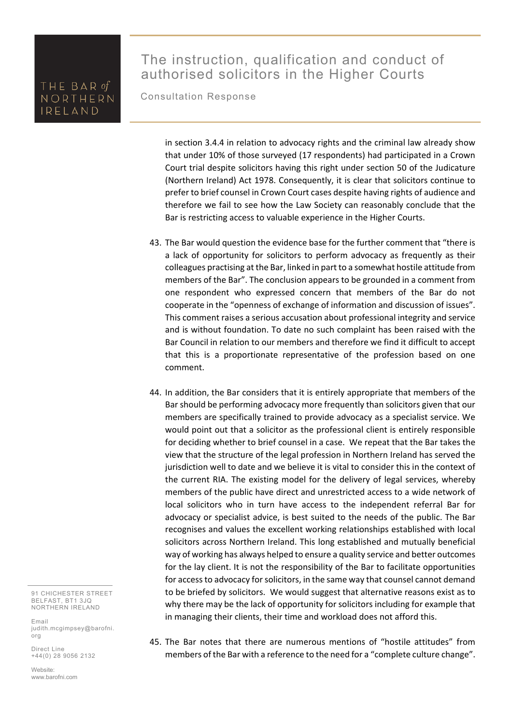# The instruction, qualification and conduct of authorised solicitors in the Higher Courts

Consultation Response

in section 3.4.4 in relation to advocacy rights and the criminal law already show that under 10% of those surveyed (17 respondents) had participated in a Crown Court trial despite solicitors having this right under section 50 of the Judicature (Northern Ireland) Act 1978. Consequently, it is clear that solicitors continue to prefer to brief counsel in Crown Court cases despite having rights of audience and therefore we fail to see how the Law Society can reasonably conclude that the Bar is restricting access to valuable experience in the Higher Courts.

- 43. The Bar would question the evidence base for the further comment that "there is a lack of opportunity for solicitors to perform advocacy as frequently as their colleagues practising at the Bar, linked in part to a somewhat hostile attitude from members of the Bar". The conclusion appears to be grounded in a comment from one respondent who expressed concern that members of the Bar do not cooperate in the "openness of exchange of information and discussion of issues". This comment raises a serious accusation about professional integrity and service and is without foundation. To date no such complaint has been raised with the Bar Council in relation to our members and therefore we find it difficult to accept that this is a proportionate representative of the profession based on one comment.
- 44. In addition, the Bar considers that it is entirely appropriate that members of the Bar should be performing advocacy more frequently than solicitors given that our members are specifically trained to provide advocacy as a specialist service. We would point out that a solicitor as the professional client is entirely responsible for deciding whether to brief counsel in a case. We repeat that the Bar takes the view that the structure of the legal profession in Northern Ireland has served the jurisdiction well to date and we believe it is vital to consider this in the context of the current RIA. The existing model for the delivery of legal services, whereby members of the public have direct and unrestricted access to a wide network of local solicitors who in turn have access to the independent referral Bar for advocacy or specialist advice, is best suited to the needs of the public. The Bar recognises and values the excellent working relationships established with local solicitors across Northern Ireland. This long established and mutually beneficial way of working has always helped to ensure a quality service and better outcomes for the lay client. It is not the responsibility of the Bar to facilitate opportunities for access to advocacy for solicitors, in the same way that counsel cannot demand to be briefed by solicitors. We would suggest that alternative reasons exist as to why there may be the lack of opportunity for solicitors including for example that in managing their clients, their time and workload does not afford this.
- 45. The Bar notes that there are numerous mentions of "hostile attitudes" from members of the Bar with a reference to the need for a "complete culture change".

91 CHICHESTER STREET BELFAST, BT1 3JQ NORTHERN IRELAND

Email judith.mcgimpsey@barofni. org

Direct Line +44(0) 28 9056 2132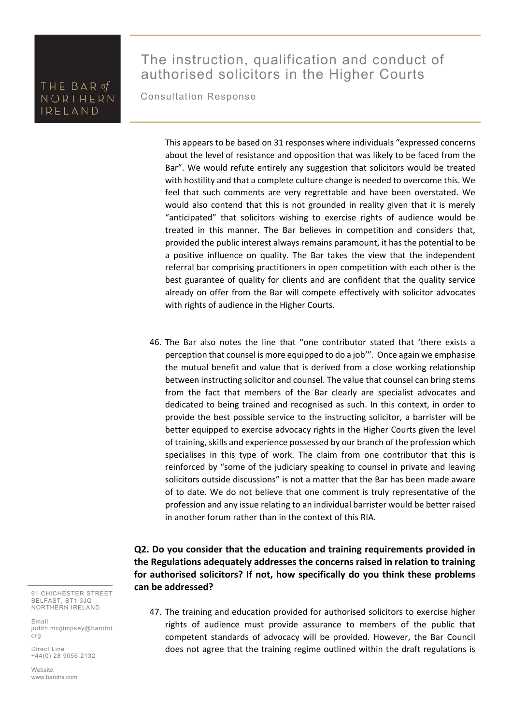# The instruction, qualification and conduct of authorised solicitors in the Higher Courts

Consultation Response

This appears to be based on 31 responses where individuals "expressed concerns about the level of resistance and opposition that was likely to be faced from the Bar". We would refute entirely any suggestion that solicitors would be treated with hostility and that a complete culture change is needed to overcome this. We feel that such comments are very regrettable and have been overstated. We would also contend that this is not grounded in reality given that it is merely "anticipated" that solicitors wishing to exercise rights of audience would be treated in this manner. The Bar believes in competition and considers that, provided the public interest always remains paramount, it has the potential to be a positive influence on quality. The Bar takes the view that the independent referral bar comprising practitioners in open competition with each other is the best guarantee of quality for clients and are confident that the quality service already on offer from the Bar will compete effectively with solicitor advocates with rights of audience in the Higher Courts.

46. The Bar also notes the line that "one contributor stated that 'there exists a perception that counsel is more equipped to do a job'". Once again we emphasise the mutual benefit and value that is derived from a close working relationship between instructing solicitor and counsel. The value that counsel can bring stems from the fact that members of the Bar clearly are specialist advocates and dedicated to being trained and recognised as such. In this context, in order to provide the best possible service to the instructing solicitor, a barrister will be better equipped to exercise advocacy rights in the Higher Courts given the level of training, skills and experience possessed by our branch of the profession which specialises in this type of work. The claim from one contributor that this is reinforced by "some of the judiciary speaking to counsel in private and leaving solicitors outside discussions" is not a matter that the Bar has been made aware of to date. We do not believe that one comment is truly representative of the profession and any issue relating to an individual barrister would be better raised in another forum rather than in the context of this RIA.

### **Q2. Do you consider that the education and training requirements provided in the Regulations adequately addresses the concerns raised in relation to training for authorised solicitors? If not, how specifically do you think these problems can be addressed?**

47. The training and education provided for authorised solicitors to exercise higher rights of audience must provide assurance to members of the public that competent standards of advocacy will be provided. However, the Bar Council does not agree that the training regime outlined within the draft regulations is

91 CHICHESTER STREET BELFAST, BT1 3JQ NORTHERN IRELAND

Email judith.mcgimpsey@barofni. org

Direct Line +44(0) 28 9056 2132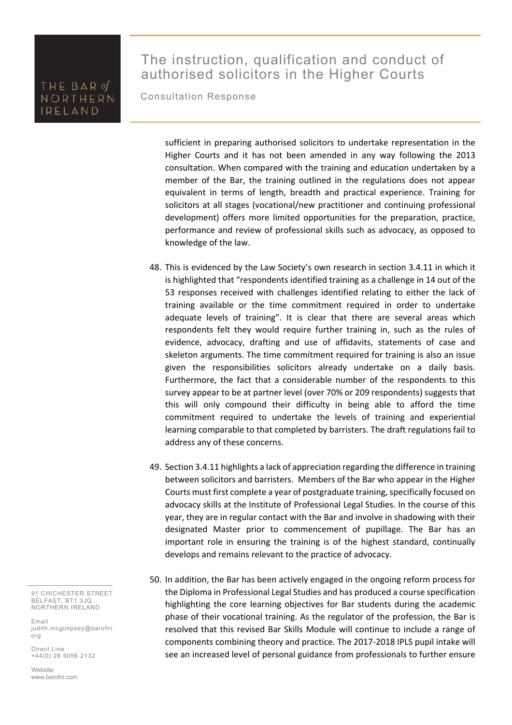# The instruction, qualification and conduct of authorised solicitors in the Higher Courts

Consultation Response

sufficient in preparing authorised solicitors to undertake representation in the Higher Courts and it has not been amended in any way following the 2013 consultation. When compared with the training and education undertaken by a member of the Bar, the training outlined in the regulations does not appear equivalent in terms of length, breadth and practical experience. Training for solicitors at all stages (vocational/new practitioner and continuing professional development) offers more limited opportunities for the preparation, practice, performance and review of professional skills such as advocacy, as opposed to knowledge of the law.

- 48. This is evidenced by the Law Society's own research in section 3.4.11 in which it is highlighted that "respondents identified training as a challenge in 14 out of the 53 responses received with challenges identified relating to either the lack of training available or the time commitment required in order to undertake adequate levels of training". It is clear that there are several areas which respondents felt they would require further training in, such as the rules of evidence, advocacy, drafting and use of affidavits, statements of case and skeleton arguments. The time commitment required for training is also an issue given the responsibilities solicitors already undertake on a daily basis. Furthermore, the fact that a considerable number of the respondents to this survey appear to be at partner level (over 70% or 209 respondents) suggests that this will only compound their difficulty in being able to afford the time commitment required to undertake the levels of training and experiential learning comparable to that completed by barristers. The draft regulations fail to address any of these concerns.
- 49. Section 3.4.11 highlights a lack of appreciation regarding the difference in training between solicitors and barristers. Members of the Bar who appear in the Higher Courts must first complete a year of postgraduate training, specifically focused on advocacy skills at the Institute of Professional Legal Studies. In the course of this year, they are in regular contact with the Bar and involve in shadowing with their designated Master prior to commencement of pupillage. The Bar has an important role in ensuring the training is of the highest standard, continually develops and remains relevant to the practice of advocacy.
- 50. In addition, the Bar has been actively engaged in the ongoing reform process for the Diploma in Professional Legal Studies and has produced a course specification highlighting the core learning objectives for Bar students during the academic phase of their vocational training. As the regulator of the profession, the Bar is resolved that this revised Bar Skills Module will continue to include a range of components combining theory and practice. The 2017‐2018 IPLS pupil intake will see an increased level of personal guidance from professionals to further ensure

91 CHICHESTER STREET BELFAST, BT1 3JQ NORTHERN IRELAND

Email judith.mcgimpsey@barofni. org

Direct Line +44(0) 28 9056 2132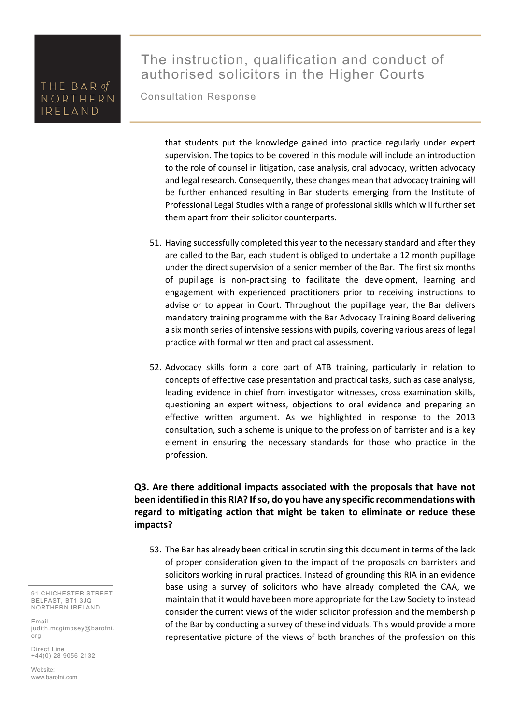# The instruction, qualification and conduct of authorised solicitors in the Higher Courts

Consultation Response

that students put the knowledge gained into practice regularly under expert supervision. The topics to be covered in this module will include an introduction to the role of counsel in litigation, case analysis, oral advocacy, written advocacy and legal research. Consequently, these changes mean that advocacy training will be further enhanced resulting in Bar students emerging from the Institute of Professional Legal Studies with a range of professional skills which will further set them apart from their solicitor counterparts.

- 51. Having successfully completed this year to the necessary standard and after they are called to the Bar, each student is obliged to undertake a 12 month pupillage under the direct supervision of a senior member of the Bar. The first six months of pupillage is non‐practising to facilitate the development, learning and engagement with experienced practitioners prior to receiving instructions to advise or to appear in Court. Throughout the pupillage year, the Bar delivers mandatory training programme with the Bar Advocacy Training Board delivering a six month series of intensive sessions with pupils, covering various areas of legal practice with formal written and practical assessment.
- 52. Advocacy skills form a core part of ATB training, particularly in relation to concepts of effective case presentation and practical tasks, such as case analysis, leading evidence in chief from investigator witnesses, cross examination skills, questioning an expert witness, objections to oral evidence and preparing an effective written argument. As we highlighted in response to the 2013 consultation, such a scheme is unique to the profession of barrister and is a key element in ensuring the necessary standards for those who practice in the profession.

### **Q3. Are there additional impacts associated with the proposals that have not been identified in this RIA? If so, do you have any specific recommendations with regard to mitigating action that might be taken to eliminate or reduce these impacts?**

53. The Bar has already been critical in scrutinising this document in terms of the lack of proper consideration given to the impact of the proposals on barristers and solicitors working in rural practices. Instead of grounding this RIA in an evidence base using a survey of solicitors who have already completed the CAA, we maintain that it would have been more appropriate for the Law Society to instead consider the current views of the wider solicitor profession and the membership of the Bar by conducting a survey of these individuals. This would provide a more representative picture of the views of both branches of the profession on this

91 CHICHESTER STREET BELFAST, BT1 3JQ NORTHERN IRELAND

Email judith.mcgimpsey@barofni. org

Direct Line +44(0) 28 9056 2132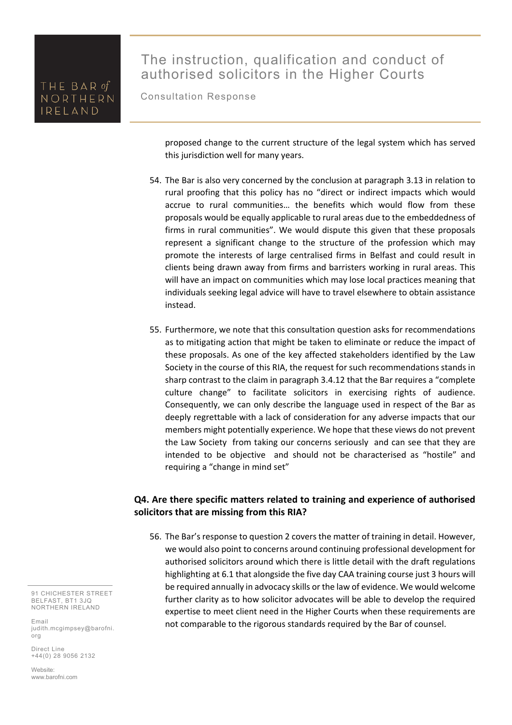# The instruction, qualification and conduct of authorised solicitors in the Higher Courts

Consultation Response

proposed change to the current structure of the legal system which has served this jurisdiction well for many years.

- 54. The Bar is also very concerned by the conclusion at paragraph 3.13 in relation to rural proofing that this policy has no "direct or indirect impacts which would accrue to rural communities… the benefits which would flow from these proposals would be equally applicable to rural areas due to the embeddedness of firms in rural communities". We would dispute this given that these proposals represent a significant change to the structure of the profession which may promote the interests of large centralised firms in Belfast and could result in clients being drawn away from firms and barristers working in rural areas. This will have an impact on communities which may lose local practices meaning that individuals seeking legal advice will have to travel elsewhere to obtain assistance instead.
- 55. Furthermore, we note that this consultation question asks for recommendations as to mitigating action that might be taken to eliminate or reduce the impact of these proposals. As one of the key affected stakeholders identified by the Law Society in the course of this RIA, the request for such recommendations stands in sharp contrast to the claim in paragraph 3.4.12 that the Bar requires a "complete culture change" to facilitate solicitors in exercising rights of audience. Consequently, we can only describe the language used in respect of the Bar as deeply regrettable with a lack of consideration for any adverse impacts that our members might potentially experience. We hope that these views do not prevent the Law Society from taking our concerns seriously and can see that they are intended to be objective and should not be characterised as "hostile" and requiring a "change in mind set"

#### **Q4. Are there specific matters related to training and experience of authorised solicitors that are missing from this RIA?**

56. The Bar's response to question 2 covers the matter of training in detail. However, we would also point to concerns around continuing professional development for authorised solicitors around which there is little detail with the draft regulations highlighting at 6.1 that alongside the five day CAA training course just 3 hours will be required annually in advocacy skills or the law of evidence. We would welcome further clarity as to how solicitor advocates will be able to develop the required expertise to meet client need in the Higher Courts when these requirements are not comparable to the rigorous standards required by the Bar of counsel.

91 CHICHESTER STREET BELFAST, BT1 3JQ NORTHERN IRELAND

Email judith.mcgimpsey@barofni. org

Direct Line +44(0) 28 9056 2132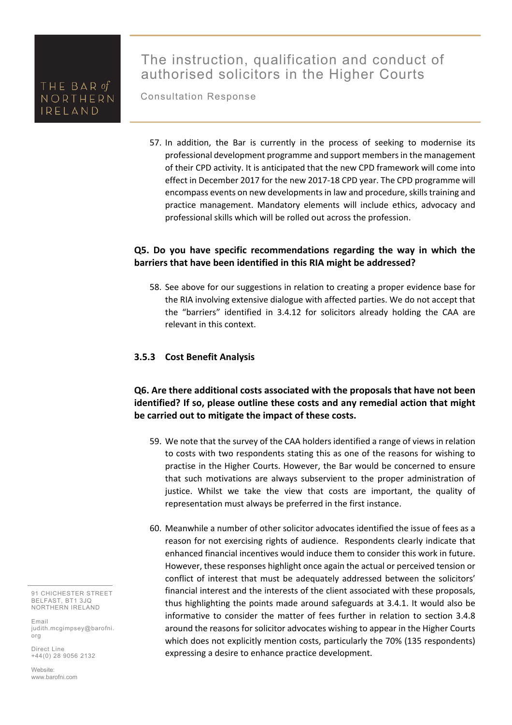Consultation Response

57. In addition, the Bar is currently in the process of seeking to modernise its professional development programme and support members in the management of their CPD activity. It is anticipated that the new CPD framework will come into effect in December 2017 for the new 2017‐18 CPD year. The CPD programme will encompass events on new developments in law and procedure, skills training and practice management. Mandatory elements will include ethics, advocacy and professional skills which will be rolled out across the profession.

### **Q5. Do you have specific recommendations regarding the way in which the barriers that have been identified in this RIA might be addressed?**

58. See above for our suggestions in relation to creating a proper evidence base for the RIA involving extensive dialogue with affected parties. We do not accept that the "barriers" identified in 3.4.12 for solicitors already holding the CAA are relevant in this context.

#### **3.5.3 Cost Benefit Analysis**

### **Q6. Are there additional costs associated with the proposals that have not been identified? If so, please outline these costs and any remedial action that might be carried out to mitigate the impact of these costs.**

- 59. We note that the survey of the CAA holders identified a range of views in relation to costs with two respondents stating this as one of the reasons for wishing to practise in the Higher Courts. However, the Bar would be concerned to ensure that such motivations are always subservient to the proper administration of justice. Whilst we take the view that costs are important, the quality of representation must always be preferred in the first instance.
- 60. Meanwhile a number of other solicitor advocates identified the issue of fees as a reason for not exercising rights of audience. Respondents clearly indicate that enhanced financial incentives would induce them to consider this work in future. However, these responses highlight once again the actual or perceived tension or conflict of interest that must be adequately addressed between the solicitors' financial interest and the interests of the client associated with these proposals, thus highlighting the points made around safeguards at 3.4.1. It would also be informative to consider the matter of fees further in relation to section 3.4.8 around the reasons for solicitor advocates wishing to appear in the Higher Courts which does not explicitly mention costs, particularly the 70% (135 respondents) expressing a desire to enhance practice development.

91 CHICHESTER STREET BELFAST, BT1 3JQ NORTHERN IRELAND

Email judith.mcgimpsey@barofni. org

Direct Line +44(0) 28 9056 2132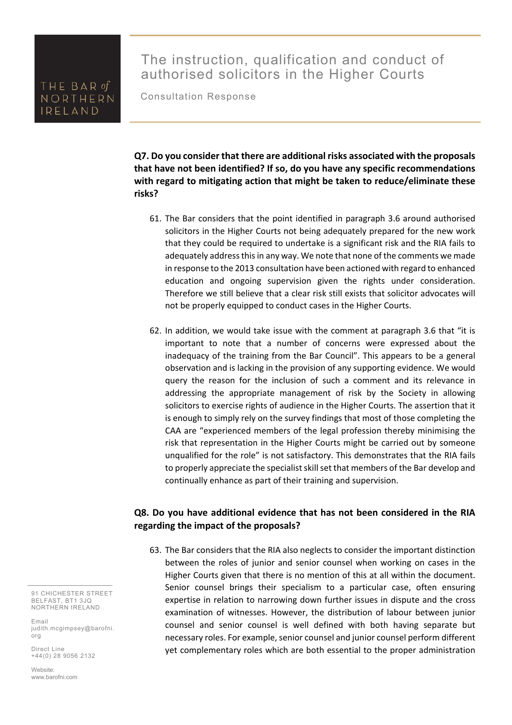# The instruction, qualification and conduct of authorised solicitors in the Higher Courts

Consultation Response

**Q7. Do you consider that there are additional risks associated with the proposals that have not been identified? If so, do you have any specific recommendations with regard to mitigating action that might be taken to reduce/eliminate these risks?** 

- 61. The Bar considers that the point identified in paragraph 3.6 around authorised solicitors in the Higher Courts not being adequately prepared for the new work that they could be required to undertake is a significant risk and the RIA fails to adequately address this in any way. We note that none of the comments we made in response to the 2013 consultation have been actioned with regard to enhanced education and ongoing supervision given the rights under consideration. Therefore we still believe that a clear risk still exists that solicitor advocates will not be properly equipped to conduct cases in the Higher Courts.
- 62. In addition, we would take issue with the comment at paragraph 3.6 that "it is important to note that a number of concerns were expressed about the inadequacy of the training from the Bar Council". This appears to be a general observation and is lacking in the provision of any supporting evidence. We would query the reason for the inclusion of such a comment and its relevance in addressing the appropriate management of risk by the Society in allowing solicitors to exercise rights of audience in the Higher Courts. The assertion that it is enough to simply rely on the survey findings that most of those completing the CAA are "experienced members of the legal profession thereby minimising the risk that representation in the Higher Courts might be carried out by someone unqualified for the role" is not satisfactory. This demonstrates that the RIA fails to properly appreciate the specialist skill set that members of the Bar develop and continually enhance as part of their training and supervision.

#### **Q8. Do you have additional evidence that has not been considered in the RIA regarding the impact of the proposals?**

63. The Bar considers that the RIA also neglects to consider the important distinction between the roles of junior and senior counsel when working on cases in the Higher Courts given that there is no mention of this at all within the document. Senior counsel brings their specialism to a particular case, often ensuring expertise in relation to narrowing down further issues in dispute and the cross examination of witnesses. However, the distribution of labour between junior counsel and senior counsel is well defined with both having separate but necessary roles. For example, senior counsel and junior counsel perform different yet complementary roles which are both essential to the proper administration

91 CHICHESTER STREET BELFAST, BT1 3JQ NORTHERN IRELAND

Email judith.mcgimpsey@barofni. org

Direct Line +44(0) 28 9056 2132